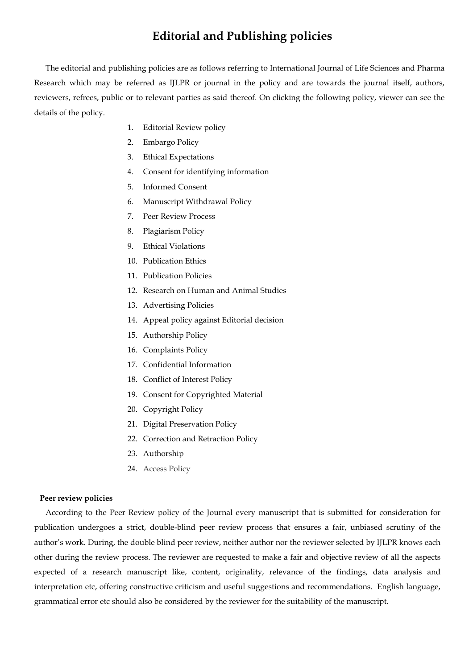# **Editorial and Publishing policies**

The editorial and publishing policies are as follows referring to International Journal of Life Sciences and Pharma Research which may be referred as IJLPR or journal in the policy and are towards the journal itself, authors, reviewers, refrees, public or to relevant parties as said thereof. On clicking the following policy, viewer can see the details of the policy.

- 1. Editorial Review policy
- 2. Embargo Policy
- 3. Ethical Expectations
- 4. Consent for identifying information
- 5. Informed Consent
- 6. Manuscript Withdrawal Policy
- 7. Peer Review Process
- 8. Plagiarism Policy
- 9. Ethical Violations
- 10. Publication Ethics
- 11. Publication Policies
- 12. Research on Human and Animal Studies
- 13. Advertising Policies
- 14. Appeal policy against Editorial decision
- 15. Authorship Policy
- 16. Complaints Policy
- 17. Confidential Information
- 18. Conflict of Interest Policy
- 19. Consent for Copyrighted Material
- 20. Copyright Policy
- 21. Digital Preservation Policy
- 22. Correction and Retraction Policy
- 23. Authorship
- 24. Access Policy

### **Peer review policies**

According to the Peer Review policy of the Journal every manuscript that is submitted for consideration for publication undergoes a strict, double-blind peer review process that ensures a fair, unbiased scrutiny of the author's work. During, the double blind peer review, neither author nor the reviewer selected by IJLPR knows each other during the review process. The reviewer are requested to make a fair and objective review of all the aspects expected of a research manuscript like, content, originality, relevance of the findings, data analysis and interpretation etc, offering constructive criticism and useful suggestions and recommendations. English language, grammatical error etc should also be considered by the reviewer for the suitability of the manuscript.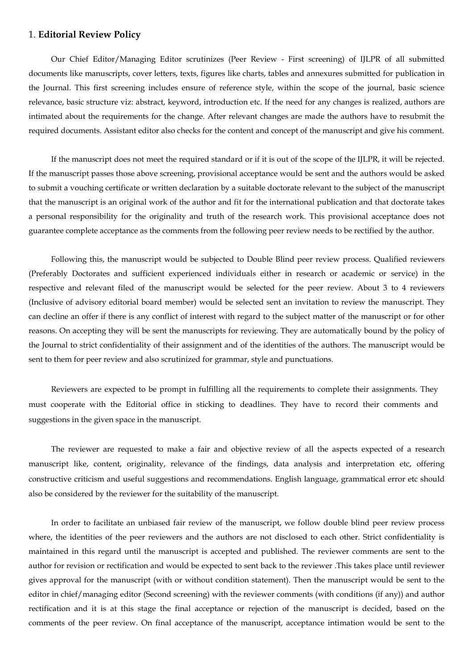## 1. **Editorial Review Policy**

Our Chief Editor/Managing Editor scrutinizes (Peer Review - First screening) of IJLPR of all submitted documents like manuscripts, cover letters, texts, figures like charts, tables and annexures submitted for publication in the Journal. This first screening includes ensure of reference style, within the scope of the journal, basic science relevance, basic structure viz: abstract, keyword, introduction etc. If the need for any changes is realized, authors are intimated about the requirements for the change. After relevant changes are made the authors have to resubmit the required documents. Assistant editor also checks for the content and concept of the manuscript and give his comment.

If the manuscript does not meet the required standard or if it is out of the scope of the IJLPR, it will be rejected. If the manuscript passes those above screening, provisional acceptance would be sent and the authors would be asked to submit a vouching certificate or written declaration by a suitable doctorate relevant to the subject of the manuscript that the manuscript is an original work of the author and fit for the international publication and that doctorate takes a personal responsibility for the originality and truth of the research work. This provisional acceptance does not guarantee complete acceptance as the comments from the following peer review needs to be rectified by the author.

Following this, the manuscript would be subjected to Double Blind peer review process. Qualified reviewers (Preferably Doctorates and sufficient experienced individuals either in research or academic or service) in the respective and relevant filed of the manuscript would be selected for the peer review. About 3 to 4 reviewers (Inclusive of advisory editorial board member) would be selected sent an invitation to review the manuscript. They can decline an offer if there is any conflict of interest with regard to the subject matter of the manuscript or for other reasons. On accepting they will be sent the manuscripts for reviewing. They are automatically bound by the policy of the Journal to strict confidentiality of their assignment and of the identities of the authors. The manuscript would be sent to them for peer review and also scrutinized for grammar, style and punctuations.

Reviewers are expected to be prompt in fulfilling all the requirements to complete their assignments. They must cooperate with the Editorial office in sticking to deadlines. They have to record their comments and suggestions in the given space in the manuscript.

The reviewer are requested to make a fair and objective review of all the aspects expected of a research manuscript like, content, originality, relevance of the findings, data analysis and interpretation etc, offering constructive criticism and useful suggestions and recommendations. English language, grammatical error etc should also be considered by the reviewer for the suitability of the manuscript.

In order to facilitate an unbiased fair review of the manuscript, we follow double blind peer review process where, the identities of the peer reviewers and the authors are not disclosed to each other. Strict confidentiality is maintained in this regard until the manuscript is accepted and published. The reviewer comments are sent to the author for revision or rectification and would be expected to sent back to the reviewer .This takes place until reviewer gives approval for the manuscript (with or without condition statement). Then the manuscript would be sent to the editor in chief/managing editor (Second screening) with the reviewer comments (with conditions (if any)) and author rectification and it is at this stage the final acceptance or rejection of the manuscript is decided, based on the comments of the peer review. On final acceptance of the manuscript, acceptance intimation would be sent to the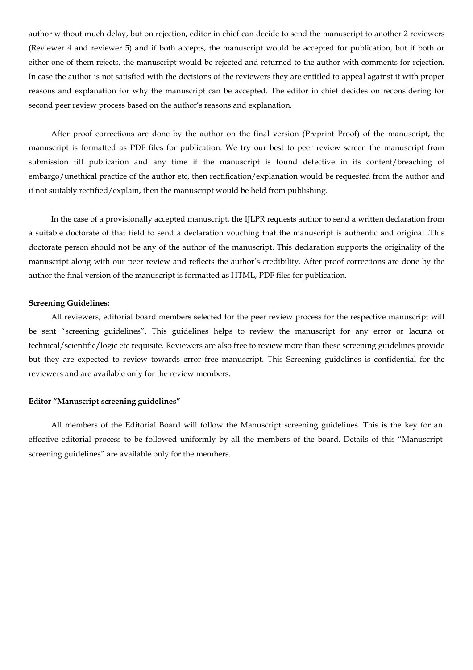author without much delay, but on rejection, editor in chief can decide to send the manuscript to another 2 reviewers (Reviewer 4 and reviewer 5) and if both accepts, the manuscript would be accepted for publication, but if both or either one of them rejects, the manuscript would be rejected and returned to the author with comments for rejection. In case the author is not satisfied with the decisions of the reviewers they are entitled to appeal against it with proper reasons and explanation for why the manuscript can be accepted. The editor in chief decides on reconsidering for second peer review process based on the author's reasons and explanation.

After proof corrections are done by the author on the final version (Preprint Proof) of the manuscript, the manuscript is formatted as PDF files for publication. We try our best to peer review screen the manuscript from submission till publication and any time if the manuscript is found defective in its content/breaching of embargo/unethical practice of the author etc, then rectification/explanation would be requested from the author and if not suitably rectified/explain, then the manuscript would be held from publishing.

In the case of a provisionally accepted manuscript, the IJLPR requests author to send a written declaration from a suitable doctorate of that field to send a declaration vouching that the manuscript is authentic and original .This doctorate person should not be any of the author of the manuscript. This declaration supports the originality of the manuscript along with our peer review and reflects the author's credibility. After proof corrections are done by the author the final version of the manuscript is formatted as HTML, PDF files for publication.

#### **Screening Guidelines:**

All reviewers, editorial board members selected for the peer review process for the respective manuscript will be sent "screening guidelines". This guidelines helps to review the manuscript for any error or lacuna or technical/scientific/logic etc requisite. Reviewers are also free to review more than these screening guidelines provide but they are expected to review towards error free manuscript. This Screening guidelines is confidential for the reviewers and are available only for the review members.

#### **Editor "Manuscript screening guidelines"**

All members of the Editorial Board will follow the Manuscript screening guidelines. This is the key for an effective editorial process to be followed uniformly by all the members of the board. Details of this "Manuscript screening guidelines" are available only for the members.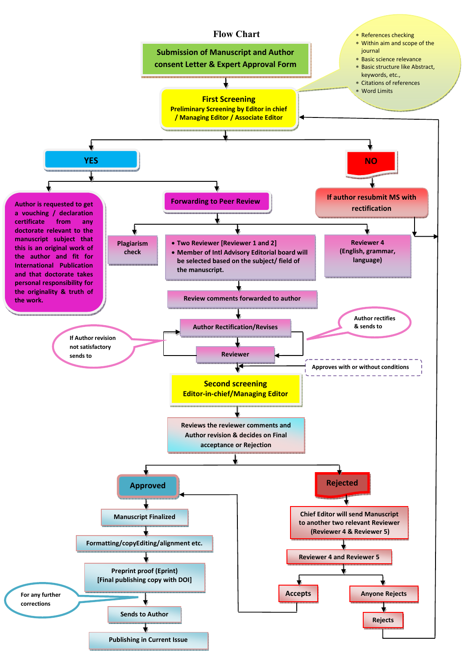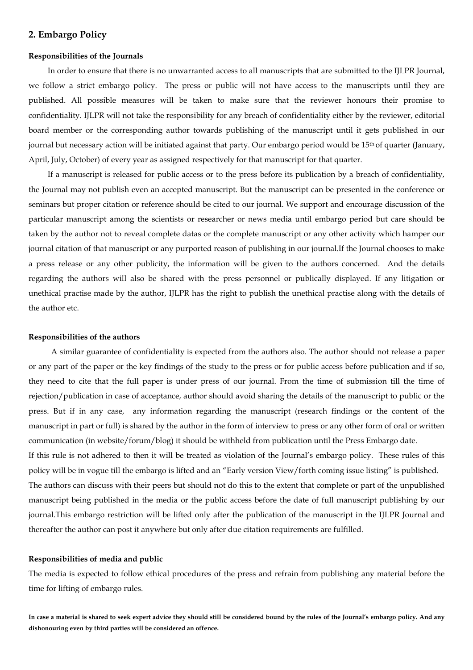## **2. Embargo Policy**

### **Responsibilities of the Journals**

In order to ensure that there is no unwarranted access to all manuscripts that are submitted to the IJLPR Journal, we follow a strict embargo policy. The press or public will not have access to the manuscripts until they are published. All possible measures will be taken to make sure that the reviewer honours their promise to confidentiality. IJLPR will not take the responsibility for any breach of confidentiality either by the reviewer, editorial board member or the corresponding author towards publishing of the manuscript until it gets published in our journal but necessary action will be initiated against that party. Our embargo period would be 15<sup>th</sup> of quarter (January, April, July, October) of every year as assigned respectively for that manuscript for that quarter.

If a manuscript is released for public access or to the press before its publication by a breach of confidentiality, the Journal may not publish even an accepted manuscript. But the manuscript can be presented in the conference or seminars but proper citation or reference should be cited to our journal. We support and encourage discussion of the particular manuscript among the scientists or researcher or news media until embargo period but care should be taken by the author not to reveal complete datas or the complete manuscript or any other activity which hamper our journal citation of that manuscript or any purported reason of publishing in our journal.If the Journal chooses to make a press release or any other publicity, the information will be given to the authors concerned. And the details regarding the authors will also be shared with the press personnel or publically displayed. If any litigation or unethical practise made by the author, IJLPR has the right to publish the unethical practise along with the details of the author etc.

#### **Responsibilities of the authors**

A similar guarantee of confidentiality is expected from the authors also. The author should not release a paper or any part of the paper or the key findings of the study to the press or for public access before publication and if so, they need to cite that the full paper is under press of our journal. From the time of submission till the time of rejection/publication in case of acceptance, author should avoid sharing the details of the manuscript to public or the press. But if in any case, any information regarding the manuscript (research findings or the content of the manuscript in part or full) is shared by the author in the form of interview to press or any other form of oral or written communication (in website/forum/blog) it should be withheld from publication until the Press Embargo date. If this rule is not adhered to then it will be treated as violation of the Journal's embargo policy. These rules of this policy will be in vogue till the embargo is lifted and an "Early version View/forth coming issue listing" is published. The authors can discuss with their peers but should not do this to the extent that complete or part of the unpublished manuscript being published in the media or the public access before the date of full manuscript publishing by our journal.This embargo restriction will be lifted only after the publication of the manuscript in the IJLPR Journal and thereafter the author can post it anywhere but only after due citation requirements are fulfilled.

#### **Responsibilities of media and public**

The media is expected to follow ethical procedures of the press and refrain from publishing any material before the time for lifting of embargo rules.

**In case a material is shared to seek expert advice they should still be considered bound by the rules of the Journal's embargo policy. And any dishonouring even by third parties will be considered an offence.**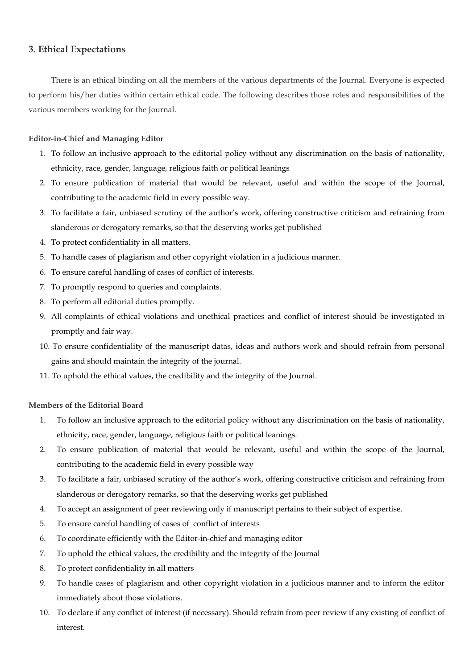## **3. Ethical Expectations**

There is an ethical binding on all the members of the various departments of the Journal. Everyone is expected to perform his/her duties within certain ethical code. The following describes those roles and responsibilities of the various members working for the Journal.

## **Editor-in-Chief and Managing Editor**

- 1. To follow an inclusive approach to the editorial policy without any discrimination on the basis of nationality, ethnicity, race, gender, language, religious faith or political leanings
- 2. To ensure publication of material that would be relevant, useful and within the scope of the Journal, contributing to the academic field in every possible way.
- 3. To facilitate a fair, unbiased scrutiny of the author's work, offering constructive criticism and refraining from slanderous or derogatory remarks, so that the deserving works get published
- 4. To protect confidentiality in all matters.
- 5. To handle cases of plagiarism and other copyright violation in a judicious manner.
- 6. To ensure careful handling of cases of conflict of interests.
- 7. To promptly respond to queries and complaints.
- 8. To perform all editorial duties promptly.
- 9. All complaints of ethical violations and unethical practices and conflict of interest should be investigated in promptly and fair way.
- 10. To ensure confidentiality of the manuscript datas, ideas and authors work and should refrain from personal gains and should maintain the integrity of the journal.
- 11. To uphold the ethical values, the credibility and the integrity of the Journal.

## **Members of the Editorial Board**

- 1. To follow an inclusive approach to the editorial policy without any discrimination on the basis of nationality, ethnicity, race, gender, language, religious faith or political leanings.
- 2. To ensure publication of material that would be relevant, useful and within the scope of the Journal, contributing to the academic field in every possible way
- 3. To facilitate a fair, unbiased scrutiny of the author's work, offering constructive criticism and refraining from slanderous or derogatory remarks, so that the deserving works get published
- 4. To accept an assignment of peer reviewing only if manuscript pertains to their subject of expertise.
- 5. To ensure careful handling of cases of conflict of interests
- 6. To coordinate efficiently with the Editor-in-chief and managing editor
- 7. To uphold the ethical values, the credibility and the integrity of the Journal
- 8. To protect confidentiality in all matters
- 9. To handle cases of plagiarism and other copyright violation in a judicious manner and to inform the editor immediately about those violations.
- 10. To declare if any conflict of interest (if necessary). Should refrain from peer review if any existing of conflict of interest.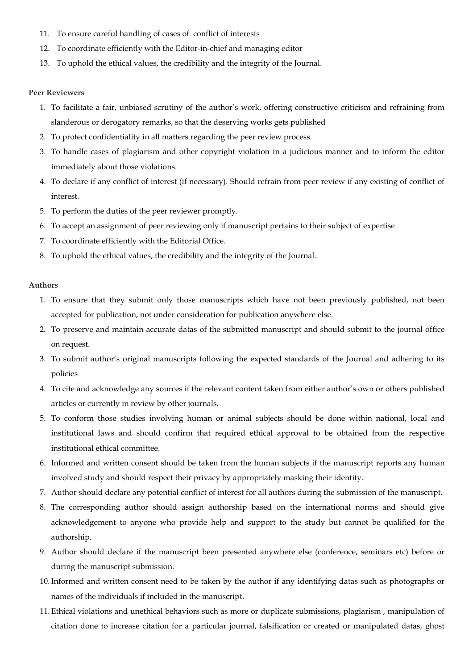- 11. To ensure careful handling of cases of conflict of interests
- 12. To coordinate efficiently with the Editor-in-chief and managing editor
- 13. To uphold the ethical values, the credibility and the integrity of the Journal.

## **Peer Reviewers**

- 1. To facilitate a fair, unbiased scrutiny of the author's work, offering constructive criticism and refraining from slanderous or derogatory remarks, so that the deserving works gets published
- 2. To protect confidentiality in all matters regarding the peer review process.
- 3. To handle cases of plagiarism and other copyright violation in a judicious manner and to inform the editor immediately about those violations.
- 4. To declare if any conflict of interest (if necessary). Should refrain from peer review if any existing of conflict of interest.
- 5. To perform the duties of the peer reviewer promptly.
- 6. To accept an assignment of peer reviewing only if manuscript pertains to their subject of expertise
- 7. To coordinate efficiently with the Editorial Office.
- 8. To uphold the ethical values, the credibility and the integrity of the Journal.

## **Authors**

- 1. To ensure that they submit only those manuscripts which have not been previously published, not been accepted for publication, not under consideration for publication anywhere else.
- 2. To preserve and maintain accurate datas of the submitted manuscript and should submit to the journal office on request.
- 3. To submit author's original manuscripts following the expected standards of the Journal and adhering to its policies
- 4. To cite and acknowledge any sources if the relevant content taken from either author's own or others published articles or currently in review by other journals.
- 5. To conform those studies involving human or animal subjects should be done within national, local and institutional laws and should confirm that required ethical approval to be obtained from the respective institutional ethical committee.
- 6. Informed and written consent should be taken from the human subjects if the manuscript reports any human involved study and should respect their privacy by appropriately masking their identity.
- 7. Author should declare any potential conflict of interest for all authors during the submission of the manuscript.
- 8. The corresponding author should assign authorship based on the international norms and should give acknowledgement to anyone who provide help and support to the study but cannot be qualified for the authorship.
- 9. Author should declare if the manuscript been presented anywhere else (conference, seminars etc) before or during the manuscript submission.
- 10.Informed and written consent need to be taken by the author if any identifying datas such as photographs or names of the individuals if included in the manuscript.
- 11. Ethical violations and unethical behaviors such as more or duplicate submissions, plagiarism , manipulation of citation done to increase citation for a particular journal, falsification or created or manipulated datas, ghost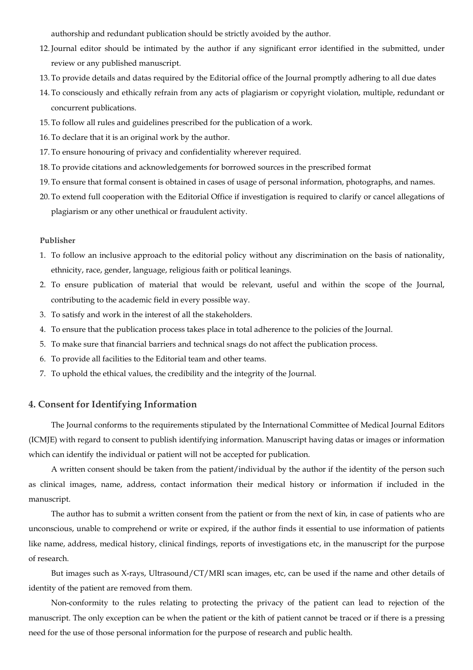authorship and redundant publication should be strictly avoided by the author.

- 12.Journal editor should be intimated by the author if any significant error identified in the submitted, under review or any published manuscript.
- 13. To provide details and datas required by the Editorial office of the Journal promptly adhering to all due dates
- 14. To consciously and ethically refrain from any acts of plagiarism or copyright violation, multiple, redundant or concurrent publications.
- 15. To follow all rules and guidelines prescribed for the publication of a work.
- 16. To declare that it is an original work by the author.
- 17. To ensure honouring of privacy and confidentiality wherever required.
- 18. To provide citations and acknowledgements for borrowed sources in the prescribed format
- 19. To ensure that formal consent is obtained in cases of usage of personal information, photographs, and names.
- 20. To extend full cooperation with the Editorial Office if investigation is required to clarify or cancel allegations of plagiarism or any other unethical or fraudulent activity.

### **Publisher**

- 1. To follow an inclusive approach to the editorial policy without any discrimination on the basis of nationality, ethnicity, race, gender, language, religious faith or political leanings.
- 2. To ensure publication of material that would be relevant, useful and within the scope of the Journal, contributing to the academic field in every possible way.
- 3. To satisfy and work in the interest of all the stakeholders.
- 4. To ensure that the publication process takes place in total adherence to the policies of the Journal.
- 5. To make sure that financial barriers and technical snags do not affect the publication process.
- 6. To provide all facilities to the Editorial team and other teams.
- 7. To uphold the ethical values, the credibility and the integrity of the Journal.

## **4. Consent for Identifying Information**

The Journal conforms to the requirements stipulated by the International Committee of Medical Journal Editors (ICMJE) with regard to consent to publish identifying information. Manuscript having datas or images or information which can identify the individual or patient will not be accepted for publication.

A written consent should be taken from the patient/individual by the author if the identity of the person such as clinical images, name, address, contact information their medical history or information if included in the manuscript.

The author has to submit a written consent from the patient or from the next of kin, in case of patients who are unconscious, unable to comprehend or write or expired, if the author finds it essential to use information of patients like name, address, medical history, clinical findings, reports of investigations etc, in the manuscript for the purpose of research.

But images such as X-rays, Ultrasound/CT/MRI scan images, etc, can be used if the name and other details of identity of the patient are removed from them.

Non-conformity to the rules relating to protecting the privacy of the patient can lead to rejection of the manuscript. The only exception can be when the patient or the kith of patient cannot be traced or if there is a pressing need for the use of those personal information for the purpose of research and public health.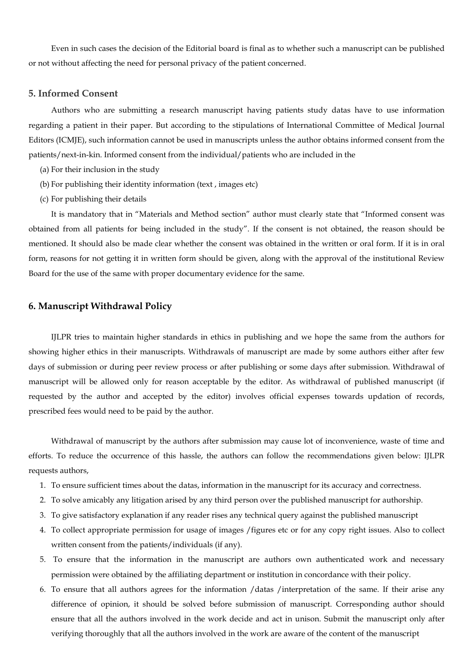Even in such cases the decision of the Editorial board is final as to whether such a manuscript can be published or not without affecting the need for personal privacy of the patient concerned.

## **5. Informed Consent**

Authors who are submitting a research manuscript having patients study datas have to use information regarding a patient in their paper. But according to the stipulations of International Committee of Medical Journal Editors (ICMJE), such information cannot be used in manuscripts unless the author obtains informed consent from the patients/next-in-kin. Informed consent from the individual/patients who are included in the

- (a) For their inclusion in the study
- (b) For publishing their identity information (text , images etc)
- (c) For publishing their details

It is mandatory that in "Materials and Method section" author must clearly state that "Informed consent was obtained from all patients for being included in the study". If the consent is not obtained, the reason should be mentioned. It should also be made clear whether the consent was obtained in the written or oral form. If it is in oral form, reasons for not getting it in written form should be given, along with the approval of the institutional Review Board for the use of the same with proper documentary evidence for the same.

## **6. Manuscript Withdrawal Policy**

IJLPR tries to maintain higher standards in ethics in publishing and we hope the same from the authors for showing higher ethics in their manuscripts. Withdrawals of manuscript are made by some authors either after few days of submission or during peer review process or after publishing or some days after submission. Withdrawal of manuscript will be allowed only for reason acceptable by the editor. As withdrawal of published manuscript (if requested by the author and accepted by the editor) involves official expenses towards updation of records, prescribed fees would need to be paid by the author.

Withdrawal of manuscript by the authors after submission may cause lot of inconvenience, waste of time and efforts. To reduce the occurrence of this hassle, the authors can follow the recommendations given below: IJLPR requests authors,

- 1. To ensure sufficient times about the datas, information in the manuscript for its accuracy and correctness.
- 2. To solve amicably any litigation arised by any third person over the published manuscript for authorship.
- 3. To give satisfactory explanation if any reader rises any technical query against the published manuscript
- 4. To collect appropriate permission for usage of images /figures etc or for any copy right issues. Also to collect written consent from the patients/individuals (if any).
- 5. To ensure that the information in the manuscript are authors own authenticated work and necessary permission were obtained by the affiliating department or institution in concordance with their policy.
- 6. To ensure that all authors agrees for the information /datas /interpretation of the same. If their arise any difference of opinion, it should be solved before submission of manuscript. Corresponding author should ensure that all the authors involved in the work decide and act in unison. Submit the manuscript only after verifying thoroughly that all the authors involved in the work are aware of the content of the manuscript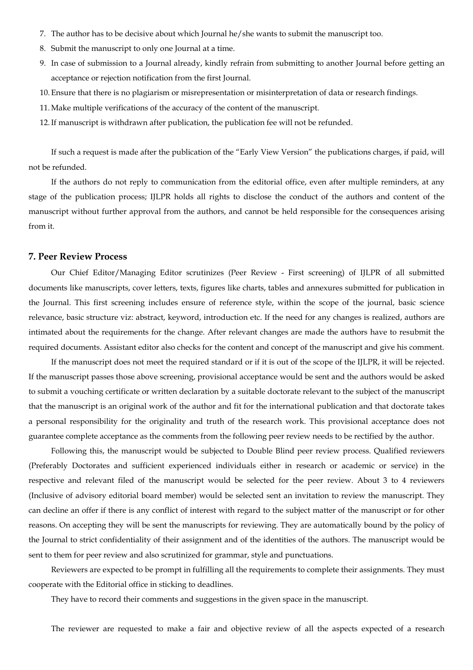- 7. The author has to be decisive about which Journal he/she wants to submit the manuscript too.
- 8. Submit the manuscript to only one Journal at a time.
- 9. In case of submission to a Journal already, kindly refrain from submitting to another Journal before getting an acceptance or rejection notification from the first Journal.
- 10. Ensure that there is no plagiarism or misrepresentation or misinterpretation of data or research findings.
- 11. Make multiple verifications of the accuracy of the content of the manuscript.
- 12.If manuscript is withdrawn after publication, the publication fee will not be refunded.

If such a request is made after the publication of the "Early View Version" the publications charges, if paid, will not be refunded.

If the authors do not reply to communication from the editorial office, even after multiple reminders, at any stage of the publication process; IJLPR holds all rights to disclose the conduct of the authors and content of the manuscript without further approval from the authors, and cannot be held responsible for the consequences arising from it.

## **7. Peer Review Process**

Our Chief Editor/Managing Editor scrutinizes (Peer Review - First screening) of IJLPR of all submitted documents like manuscripts, cover letters, texts, figures like charts, tables and annexures submitted for publication in the Journal. This first screening includes ensure of reference style, within the scope of the journal, basic science relevance, basic structure viz: abstract, keyword, introduction etc. If the need for any changes is realized, authors are intimated about the requirements for the change. After relevant changes are made the authors have to resubmit the required documents. Assistant editor also checks for the content and concept of the manuscript and give his comment.

If the manuscript does not meet the required standard or if it is out of the scope of the IJLPR, it will be rejected. If the manuscript passes those above screening, provisional acceptance would be sent and the authors would be asked to submit a vouching certificate or written declaration by a suitable doctorate relevant to the subject of the manuscript that the manuscript is an original work of the author and fit for the international publication and that doctorate takes a personal responsibility for the originality and truth of the research work. This provisional acceptance does not guarantee complete acceptance as the comments from the following peer review needs to be rectified by the author.

Following this, the manuscript would be subjected to Double Blind peer review process. Qualified reviewers (Preferably Doctorates and sufficient experienced individuals either in research or academic or service) in the respective and relevant filed of the manuscript would be selected for the peer review. About 3 to 4 reviewers (Inclusive of advisory editorial board member) would be selected sent an invitation to review the manuscript. They can decline an offer if there is any conflict of interest with regard to the subject matter of the manuscript or for other reasons. On accepting they will be sent the manuscripts for reviewing. They are automatically bound by the policy of the Journal to strict confidentiality of their assignment and of the identities of the authors. The manuscript would be sent to them for peer review and also scrutinized for grammar, style and punctuations.

Reviewers are expected to be prompt in fulfilling all the requirements to complete their assignments. They must cooperate with the Editorial office in sticking to deadlines.

They have to record their comments and suggestions in the given space in the manuscript.

The reviewer are requested to make a fair and objective review of all the aspects expected of a research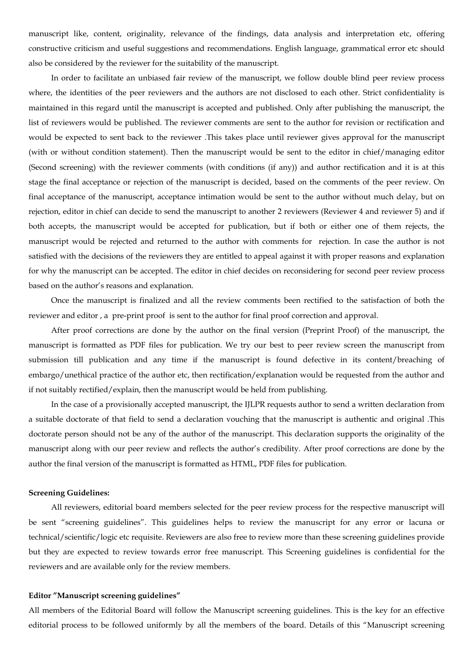manuscript like, content, originality, relevance of the findings, data analysis and interpretation etc, offering constructive criticism and useful suggestions and recommendations. English language, grammatical error etc should also be considered by the reviewer for the suitability of the manuscript.

In order to facilitate an unbiased fair review of the manuscript, we follow double blind peer review process where, the identities of the peer reviewers and the authors are not disclosed to each other. Strict confidentiality is maintained in this regard until the manuscript is accepted and published. Only after publishing the manuscript, the list of reviewers would be published. The reviewer comments are sent to the author for revision or rectification and would be expected to sent back to the reviewer .This takes place until reviewer gives approval for the manuscript (with or without condition statement). Then the manuscript would be sent to the editor in chief/managing editor (Second screening) with the reviewer comments (with conditions (if any)) and author rectification and it is at this stage the final acceptance or rejection of the manuscript is decided, based on the comments of the peer review. On final acceptance of the manuscript, acceptance intimation would be sent to the author without much delay, but on rejection, editor in chief can decide to send the manuscript to another 2 reviewers (Reviewer 4 and reviewer 5) and if both accepts, the manuscript would be accepted for publication, but if both or either one of them rejects, the manuscript would be rejected and returned to the author with comments for rejection. In case the author is not satisfied with the decisions of the reviewers they are entitled to appeal against it with proper reasons and explanation for why the manuscript can be accepted. The editor in chief decides on reconsidering for second peer review process based on the author's reasons and explanation.

Once the manuscript is finalized and all the review comments been rectified to the satisfaction of both the reviewer and editor , a pre-print proof is sent to the author for final proof correction and approval.

After proof corrections are done by the author on the final version (Preprint Proof) of the manuscript, the manuscript is formatted as PDF files for publication. We try our best to peer review screen the manuscript from submission till publication and any time if the manuscript is found defective in its content/breaching of embargo/unethical practice of the author etc, then rectification/explanation would be requested from the author and if not suitably rectified/explain, then the manuscript would be held from publishing.

In the case of a provisionally accepted manuscript, the IJLPR requests author to send a written declaration from a suitable doctorate of that field to send a declaration vouching that the manuscript is authentic and original .This doctorate person should not be any of the author of the manuscript. This declaration supports the originality of the manuscript along with our peer review and reflects the author's credibility. After proof corrections are done by the author the final version of the manuscript is formatted as HTML, PDF files for publication.

### **Screening Guidelines:**

All reviewers, editorial board members selected for the peer review process for the respective manuscript will be sent "screening guidelines". This guidelines helps to review the manuscript for any error or lacuna or technical/scientific/logic etc requisite. Reviewers are also free to review more than these screening guidelines provide but they are expected to review towards error free manuscript. This Screening guidelines is confidential for the reviewers and are available only for the review members.

### **Editor "Manuscript screening guidelines"**

All members of the Editorial Board will follow the Manuscript screening guidelines. This is the key for an effective editorial process to be followed uniformly by all the members of the board. Details of this "Manuscript screening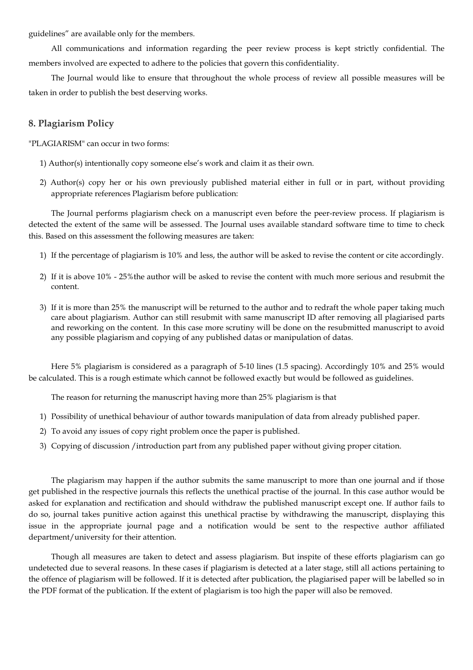guidelines" are available only for the members.

All communications and information regarding the peer review process is kept strictly confidential. The members involved are expected to adhere to the policies that govern this confidentiality.

The Journal would like to ensure that throughout the whole process of review all possible measures will be taken in order to publish the best deserving works.

## **8. Plagiarism Policy**

"PLAGIARISM" can occur in two forms:

- 1) Author(s) intentionally copy someone else's work and claim it as their own.
- 2) Author(s) copy her or his own previously published material either in full or in part, without providing appropriate references Plagiarism before publication:

The Journal performs plagiarism check on a manuscript even before the peer-review process. If plagiarism is detected the extent of the same will be assessed. The Journal uses available standard software time to time to check this. Based on this assessment the following measures are taken:

- 1) If the percentage of plagiarism is 10% and less, the author will be asked to revise the content or cite accordingly.
- 2) If it is above 10% 25%the author will be asked to revise the content with much more serious and resubmit the content.
- 3) If it is more than 25% the manuscript will be returned to the author and to redraft the whole paper taking much care about plagiarism. Author can still resubmit with same manuscript ID after removing all plagiarised parts and reworking on the content. In this case more scrutiny will be done on the resubmitted manuscript to avoid any possible plagiarism and copying of any published datas or manipulation of datas.

Here 5% plagiarism is considered as a paragraph of 5-10 lines (1.5 spacing). Accordingly 10% and 25% would be calculated. This is a rough estimate which cannot be followed exactly but would be followed as guidelines.

The reason for returning the manuscript having more than 25% plagiarism is that

- 1) Possibility of unethical behaviour of author towards manipulation of data from already published paper.
- 2) To avoid any issues of copy right problem once the paper is published.
- 3) Copying of discussion /introduction part from any published paper without giving proper citation.

The plagiarism may happen if the author submits the same manuscript to more than one journal and if those get published in the respective journals this reflects the unethical practise of the journal. In this case author would be asked for explanation and rectification and should withdraw the published manuscript except one. If author fails to do so, journal takes punitive action against this unethical practise by withdrawing the manuscript, displaying this issue in the appropriate journal page and a notification would be sent to the respective author affiliated department/university for their attention.

Though all measures are taken to detect and assess plagiarism. But inspite of these efforts plagiarism can go undetected due to several reasons. In these cases if plagiarism is detected at a later stage, still all actions pertaining to the offence of plagiarism will be followed. If it is detected after publication, the plagiarised paper will be labelled so in the PDF format of the publication. If the extent of plagiarism is too high the paper will also be removed.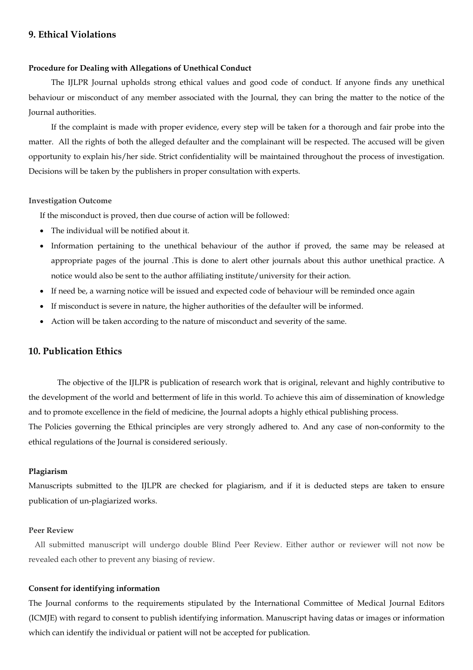## **9. Ethical Violations**

## **Procedure for Dealing with Allegations of Unethical Conduct**

The IJLPR Journal upholds strong ethical values and good code of conduct. If anyone finds any unethical behaviour or misconduct of any member associated with the Journal, they can bring the matter to the notice of the Journal authorities.

If the complaint is made with proper evidence, every step will be taken for a thorough and fair probe into the matter. All the rights of both the alleged defaulter and the complainant will be respected. The accused will be given opportunity to explain his/her side. Strict confidentiality will be maintained throughout the process of investigation. Decisions will be taken by the publishers in proper consultation with experts.

#### **Investigation Outcome**

If the misconduct is proved, then due course of action will be followed:

- The individual will be notified about it.
- Information pertaining to the unethical behaviour of the author if proved, the same may be released at appropriate pages of the journal .This is done to alert other journals about this author unethical practice. A notice would also be sent to the author affiliating institute/university for their action.
- If need be, a warning notice will be issued and expected code of behaviour will be reminded once again
- If misconduct is severe in nature, the higher authorities of the defaulter will be informed.
- Action will be taken according to the nature of misconduct and severity of the same.

## **10. Publication Ethics**

The objective of the IJLPR is publication of research work that is original, relevant and highly contributive to the development of the world and betterment of life in this world. To achieve this aim of dissemination of knowledge and to promote excellence in the field of medicine, the Journal adopts a highly ethical publishing process.

The Policies governing the Ethical principles are very strongly adhered to. And any case of non-conformity to the ethical regulations of the Journal is considered seriously.

#### **Plagiarism**

Manuscripts submitted to the IJLPR are checked for plagiarism, and if it is deducted steps are taken to ensure publication of un-plagiarized works.

## **Peer Review**

 All submitted manuscript will undergo double Blind Peer Review. Either author or reviewer will not now be revealed each other to prevent any biasing of review.

### **Consent for identifying information**

The Journal conforms to the requirements stipulated by the International Committee of Medical Journal Editors (ICMJE) with regard to consent to publish identifying information. Manuscript having datas or images or information which can identify the individual or patient will not be accepted for publication.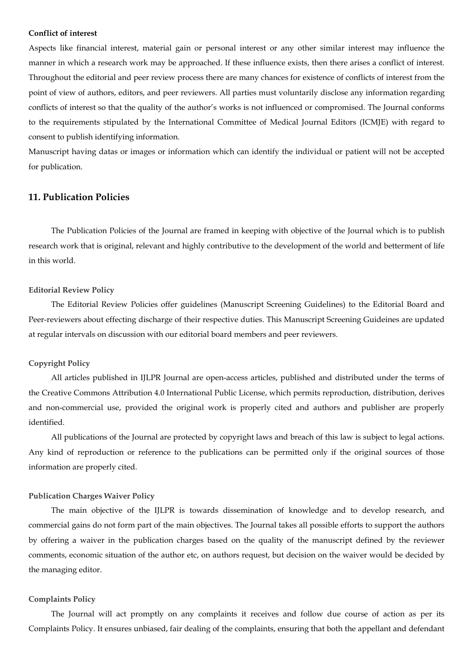#### **Conflict of interest**

Aspects like financial interest, material gain or personal interest or any other similar interest may influence the manner in which a research work may be approached. If these influence exists, then there arises a conflict of interest. Throughout the editorial and peer review process there are many chances for existence of conflicts of interest from the point of view of authors, editors, and peer reviewers. All parties must voluntarily disclose any information regarding conflicts of interest so that the quality of the author's works is not influenced or compromised. The Journal conforms to the requirements stipulated by the International Committee of Medical Journal Editors (ICMJE) with regard to consent to publish identifying information.

Manuscript having datas or images or information which can identify the individual or patient will not be accepted for publication.

## **11. Publication Policies**

The Publication Policies of the Journal are framed in keeping with objective of the Journal which is to publish research work that is original, relevant and highly contributive to the development of the world and betterment of life in this world.

#### **Editorial Review Policy**

The Editorial Review Policies offer guidelines (Manuscript Screening Guidelines) to the Editorial Board and Peer-reviewers about effecting discharge of their respective duties. This Manuscript Screening Guideines are updated at regular intervals on discussion with our editorial board members and peer reviewers.

#### **Copyright Policy**

All articles published in IJLPR Journal are open-access articles, published and distributed under the terms of the Creative Commons Attribution 4.0 International Public License, which permits reproduction, distribution, derives and non-commercial use, provided the original work is properly cited and authors and publisher are properly identified.

All publications of the Journal are protected by copyright laws and breach of this law is subject to legal actions. Any kind of reproduction or reference to the publications can be permitted only if the original sources of those information are properly cited.

#### **Publication Charges Waiver Policy**

The main objective of the IJLPR is towards dissemination of knowledge and to develop research, and commercial gains do not form part of the main objectives. The Journal takes all possible efforts to support the authors by offering a waiver in the publication charges based on the quality of the manuscript defined by the reviewer comments, economic situation of the author etc, on authors request, but decision on the waiver would be decided by the managing editor.

#### **Complaints Policy**

The Journal will act promptly on any complaints it receives and follow due course of action as per its Complaints Policy. It ensures unbiased, fair dealing of the complaints, ensuring that both the appellant and defendant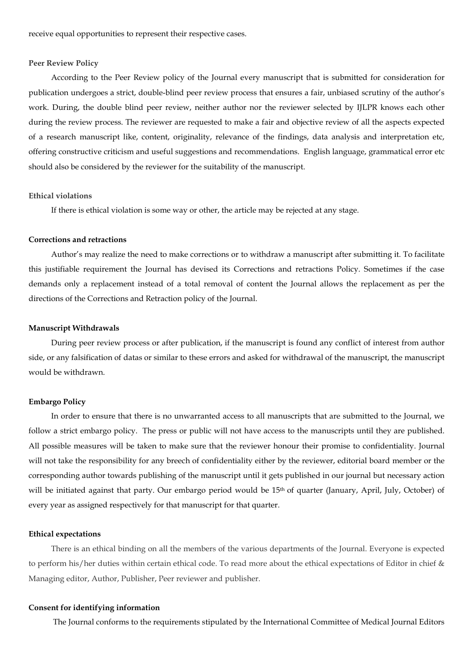receive equal opportunities to represent their respective cases.

#### **Peer Review Policy**

According to the Peer Review policy of the Journal every manuscript that is submitted for consideration for publication undergoes a strict, double-blind peer review process that ensures a fair, unbiased scrutiny of the author's work. During, the double blind peer review, neither author nor the reviewer selected by IJLPR knows each other during the review process. The reviewer are requested to make a fair and objective review of all the aspects expected of a research manuscript like, content, originality, relevance of the findings, data analysis and interpretation etc, offering constructive criticism and useful suggestions and recommendations. English language, grammatical error etc should also be considered by the reviewer for the suitability of the manuscript.

### **Ethical violations**

If there is ethical violation is some way or other, the article may be rejected at any stage.

## **Corrections and retractions**

Author's may realize the need to make corrections or to withdraw a manuscript after submitting it. To facilitate this justifiable requirement the Journal has devised its Corrections and retractions Policy. Sometimes if the case demands only a replacement instead of a total removal of content the Journal allows the replacement as per the directions of the Corrections and Retraction policy of the Journal.

#### **Manuscript Withdrawals**

During peer review process or after publication, if the manuscript is found any conflict of interest from author side, or any falsification of datas or similar to these errors and asked for withdrawal of the manuscript, the manuscript would be withdrawn.

#### **Embargo Policy**

In order to ensure that there is no unwarranted access to all manuscripts that are submitted to the Journal, we follow a strict embargo policy. The press or public will not have access to the manuscripts until they are published. All possible measures will be taken to make sure that the reviewer honour their promise to confidentiality. Journal will not take the responsibility for any breech of confidentiality either by the reviewer, editorial board member or the corresponding author towards publishing of the manuscript until it gets published in our journal but necessary action will be initiated against that party. Our embargo period would be 15<sup>th</sup> of quarter (January, April, July, October) of every year as assigned respectively for that manuscript for that quarter.

#### **Ethical expectations**

There is an ethical binding on all the members of the various departments of the Journal. Everyone is expected to perform his/her duties within certain ethical code. To read more about the ethical expectations of Editor in chief & Managing editor, Author, Publisher, Peer reviewer and publisher.

## **Consent for identifying information**

The Journal conforms to the requirements stipulated by the International Committee of Medical Journal Editors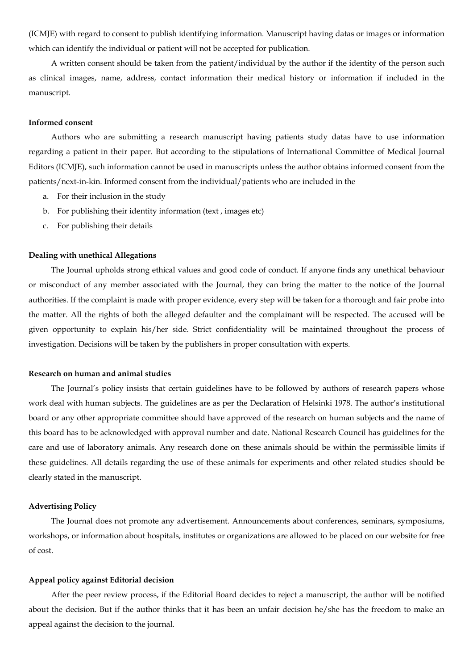(ICMJE) with regard to consent to publish identifying information. Manuscript having datas or images or information which can identify the individual or patient will not be accepted for publication.

A written consent should be taken from the patient/individual by the author if the identity of the person such as clinical images, name, address, contact information their medical history or information if included in the manuscript.

#### **Informed consent**

Authors who are submitting a research manuscript having patients study datas have to use information regarding a patient in their paper. But according to the stipulations of International Committee of Medical Journal Editors (ICMJE), such information cannot be used in manuscripts unless the author obtains informed consent from the patients/next-in-kin. Informed consent from the individual/patients who are included in the

- a. For their inclusion in the study
- b. For publishing their identity information (text , images etc)
- c. For publishing their details

### **Dealing with unethical Allegations**

The Journal upholds strong ethical values and good code of conduct. If anyone finds any unethical behaviour or misconduct of any member associated with the Journal, they can bring the matter to the notice of the Journal authorities. If the complaint is made with proper evidence, every step will be taken for a thorough and fair probe into the matter. All the rights of both the alleged defaulter and the complainant will be respected. The accused will be given opportunity to explain his/her side. Strict confidentiality will be maintained throughout the process of investigation. Decisions will be taken by the publishers in proper consultation with experts.

#### **Research on human and animal studies**

The Journal's policy insists that certain guidelines have to be followed by authors of research papers whose work deal with human subjects. The guidelines are as per the Declaration of Helsinki 1978. The author's institutional board or any other appropriate committee should have approved of the research on human subjects and the name of this board has to be acknowledged with approval number and date. National Research Council has guidelines for the care and use of laboratory animals. Any research done on these animals should be within the permissible limits if these guidelines. All details regarding the use of these animals for experiments and other related studies should be clearly stated in the manuscript.

#### **Advertising Policy**

The Journal does not promote any advertisement. Announcements about conferences, seminars, symposiums, workshops, or information about hospitals, institutes or organizations are allowed to be placed on our website for free of cost.

#### **Appeal policy against Editorial decision**

After the peer review process, if the Editorial Board decides to reject a manuscript, the author will be notified about the decision. But if the author thinks that it has been an unfair decision he/she has the freedom to make an appeal against the decision to the journal.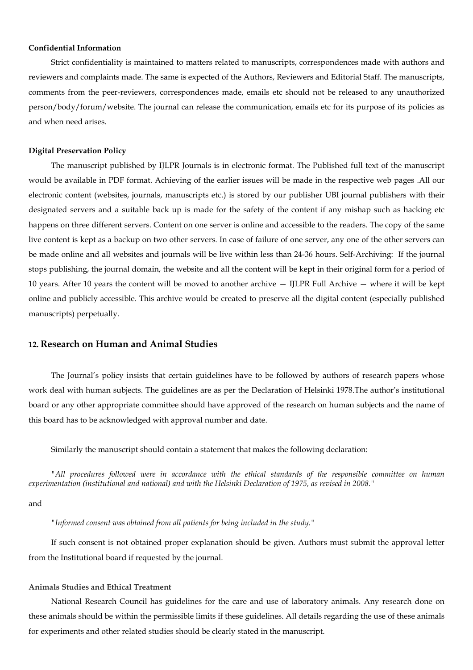## **Confidential Information**

Strict confidentiality is maintained to matters related to manuscripts, correspondences made with authors and reviewers and complaints made. The same is expected of the Authors, Reviewers and Editorial Staff. The manuscripts, comments from the peer-reviewers, correspondences made, emails etc should not be released to any unauthorized person/body/forum/website. The journal can release the communication, emails etc for its purpose of its policies as and when need arises.

#### **Digital Preservation Policy**

The manuscript published by IJLPR Journals is in electronic format. The Published full text of the manuscript would be available in PDF format. Achieving of the earlier issues will be made in the respective web pages .All our electronic content (websites, journals, manuscripts etc.) is stored by our publisher UBI journal publishers with their designated servers and a suitable back up is made for the safety of the content if any mishap such as hacking etc happens on three different servers. Content on one server is online and accessible to the readers. The copy of the same live content is kept as a backup on two other servers. In case of failure of one server, any one of the other servers can be made online and all websites and journals will be live within less than 24-36 hours. Self-Archiving: If the journal stops publishing, the journal domain, the website and all the content will be kept in their original form for a period of 10 years. After 10 years the content will be moved to another archive — IJLPR Full Archive — where it will be kept online and publicly accessible. This archive would be created to preserve all the digital content (especially published manuscripts) perpetually.

## **12. Research on Human and Animal Studies**

The Journal's policy insists that certain guidelines have to be followed by authors of research papers whose work deal with human subjects. The guidelines are as per the Declaration of Helsinki 1978.The author's institutional board or any other appropriate committee should have approved of the research on human subjects and the name of this board has to be acknowledged with approval number and date.

Similarly the manuscript should contain a statement that makes the following declaration:

*"All procedures followed were in accordance with the ethical standards of the responsible committee on human experimentation (institutional and national) and with the Helsinki Declaration of 1975, as revised in 2008."*

and

*"Informed consent was obtained from all patients for being included in the study."*

If such consent is not obtained proper explanation should be given. Authors must submit the approval letter from the Institutional board if requested by the journal.

### **Animals Studies and Ethical Treatment**

National Research Council has guidelines for the care and use of laboratory animals. Any research done on these animals should be within the permissible limits if these guidelines. All details regarding the use of these animals for experiments and other related studies should be clearly stated in the manuscript.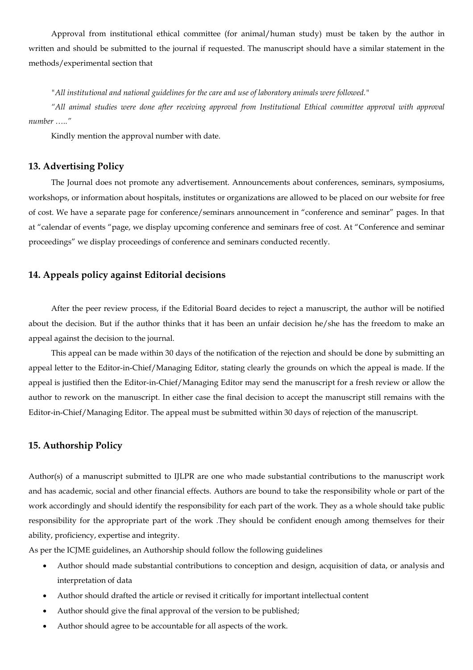Approval from institutional ethical committee (for animal/human study) must be taken by the author in written and should be submitted to the journal if requested. The manuscript should have a similar statement in the methods/experimental section that

*"All institutional and national guidelines for the care and use of laboratory animals were followed."* 

*"All animal studies were done after receiving approval from Institutional Ethical committee approval with approval number ….."* 

Kindly mention the approval number with date.

## **13. Advertising Policy**

The Journal does not promote any advertisement. Announcements about conferences, seminars, symposiums, workshops, or information about hospitals, institutes or organizations are allowed to be placed on our website for free of cost. We have a separate page for conference/seminars announcement in "conference and seminar" pages. In that at "calendar of events "page, we display upcoming conference and seminars free of cost. At "Conference and seminar proceedings" we display proceedings of conference and seminars conducted recently.

## **14. Appeals policy against Editorial decisions**

After the peer review process, if the Editorial Board decides to reject a manuscript, the author will be notified about the decision. But if the author thinks that it has been an unfair decision he/she has the freedom to make an appeal against the decision to the journal.

This appeal can be made within 30 days of the notification of the rejection and should be done by submitting an appeal letter to the Editor-in-Chief/Managing Editor, stating clearly the grounds on which the appeal is made. If the appeal is justified then the Editor-in-Chief/Managing Editor may send the manuscript for a fresh review or allow the author to rework on the manuscript. In either case the final decision to accept the manuscript still remains with the Editor-in-Chief/Managing Editor. The appeal must be submitted within 30 days of rejection of the manuscript.

## **15. Authorship Policy**

Author(s) of a manuscript submitted to IJLPR are one who made substantial contributions to the manuscript work and has academic, social and other financial effects. Authors are bound to take the responsibility whole or part of the work accordingly and should identify the responsibility for each part of the work. They as a whole should take public responsibility for the appropriate part of the work .They should be confident enough among themselves for their ability, proficiency, expertise and integrity.

As per the ICJME guidelines, an Authorship should follow the following guidelines

- Author should made substantial contributions to conception and design, acquisition of data, or analysis and interpretation of data
- Author should drafted the article or revised it critically for important intellectual content
- Author should give the final approval of the version to be published;
- Author should agree to be accountable for all aspects of the work.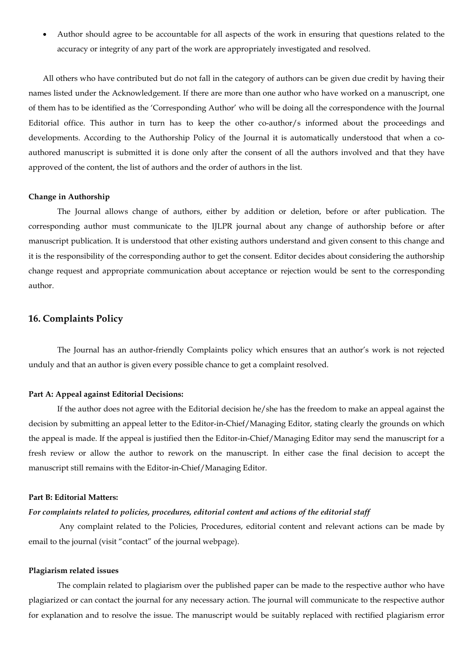• Author should agree to be accountable for all aspects of the work in ensuring that questions related to the accuracy or integrity of any part of the work are appropriately investigated and resolved.

All others who have contributed but do not fall in the category of authors can be given due credit by having their names listed under the Acknowledgement. If there are more than one author who have worked on a manuscript, one of them has to be identified as the 'Corresponding Author' who will be doing all the correspondence with the Journal Editorial office. This author in turn has to keep the other co-author/s informed about the proceedings and developments. According to the Authorship Policy of the Journal it is automatically understood that when a coauthored manuscript is submitted it is done only after the consent of all the authors involved and that they have approved of the content, the list of authors and the order of authors in the list.

### **Change in Authorship**

The Journal allows change of authors, either by addition or deletion, before or after publication. The corresponding author must communicate to the IJLPR journal about any change of authorship before or after manuscript publication. It is understood that other existing authors understand and given consent to this change and it is the responsibility of the corresponding author to get the consent. Editor decides about considering the authorship change request and appropriate communication about acceptance or rejection would be sent to the corresponding author.

## **16. Complaints Policy**

The Journal has an author-friendly Complaints policy which ensures that an author's work is not rejected unduly and that an author is given every possible chance to get a complaint resolved.

#### **Part A: Appeal against Editorial Decisions:**

If the author does not agree with the Editorial decision he/she has the freedom to make an appeal against the decision by submitting an appeal letter to the Editor-in-Chief/Managing Editor, stating clearly the grounds on which the appeal is made. If the appeal is justified then the Editor-in-Chief/Managing Editor may send the manuscript for a fresh review or allow the author to rework on the manuscript. In either case the final decision to accept the manuscript still remains with the Editor-in-Chief/Managing Editor.

#### **Part B: Editorial Matters:**

## *For complaints related to policies, procedures, editorial content and actions of the editorial staff*

 Any complaint related to the Policies, Procedures, editorial content and relevant actions can be made by email to the journal (visit "contact" of the journal webpage).

#### **Plagiarism related issues**

The complain related to plagiarism over the published paper can be made to the respective author who have plagiarized or can contact the journal for any necessary action. The journal will communicate to the respective author for explanation and to resolve the issue. The manuscript would be suitably replaced with rectified plagiarism error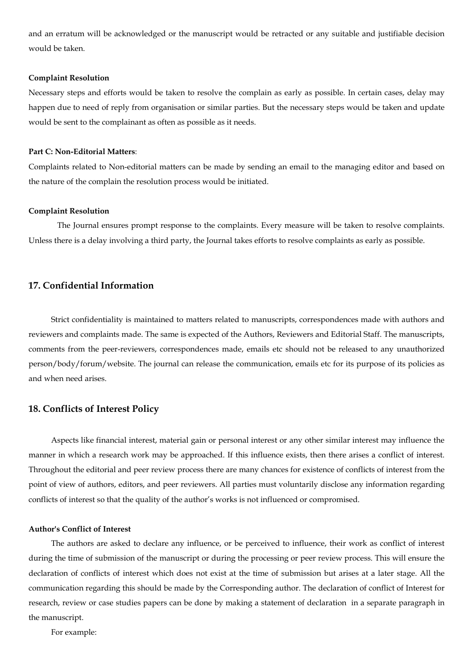and an erratum will be acknowledged or the manuscript would be retracted or any suitable and justifiable decision would be taken.

#### **Complaint Resolution**

Necessary steps and efforts would be taken to resolve the complain as early as possible. In certain cases, delay may happen due to need of reply from organisation or similar parties. But the necessary steps would be taken and update would be sent to the complainant as often as possible as it needs.

### **Part C: Non-Editorial Matters**:

Complaints related to Non-editorial matters can be made by sending an email to the managing editor and based on the nature of the complain the resolution process would be initiated.

#### **Complaint Resolution**

The Journal ensures prompt response to the complaints. Every measure will be taken to resolve complaints. Unless there is a delay involving a third party, the Journal takes efforts to resolve complaints as early as possible.

## **17. Confidential Information**

Strict confidentiality is maintained to matters related to manuscripts, correspondences made with authors and reviewers and complaints made. The same is expected of the Authors, Reviewers and Editorial Staff. The manuscripts, comments from the peer-reviewers, correspondences made, emails etc should not be released to any unauthorized person/body/forum/website. The journal can release the communication, emails etc for its purpose of its policies as and when need arises.

### **18. Conflicts of Interest Policy**

Aspects like financial interest, material gain or personal interest or any other similar interest may influence the manner in which a research work may be approached. If this influence exists, then there arises a conflict of interest. Throughout the editorial and peer review process there are many chances for existence of conflicts of interest from the point of view of authors, editors, and peer reviewers. All parties must voluntarily disclose any information regarding conflicts of interest so that the quality of the author's works is not influenced or compromised.

### **Author's Conflict of Interest**

The authors are asked to declare any influence, or be perceived to influence, their work as conflict of interest during the time of submission of the manuscript or during the processing or peer review process. This will ensure the declaration of conflicts of interest which does not exist at the time of submission but arises at a later stage. All the communication regarding this should be made by the Corresponding author. The declaration of conflict of Interest for research, review or case studies papers can be done by making a statement of declaration in a separate paragraph in the manuscript.

For example: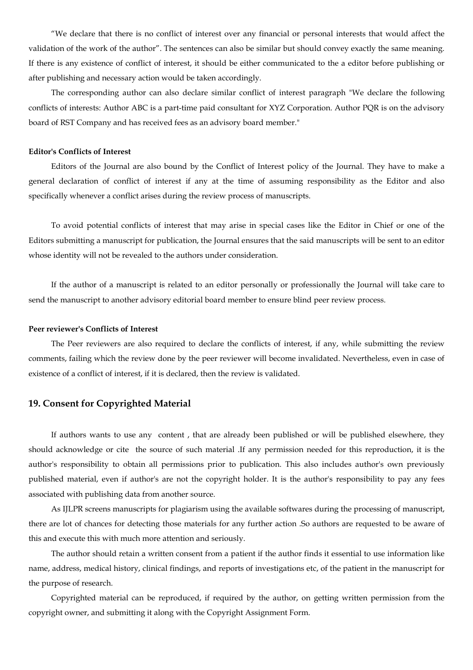"We declare that there is no conflict of interest over any financial or personal interests that would affect the validation of the work of the author". The sentences can also be similar but should convey exactly the same meaning. If there is any existence of conflict of interest, it should be either communicated to the a editor before publishing or after publishing and necessary action would be taken accordingly.

The corresponding author can also declare similar conflict of interest paragraph "We declare the following conflicts of interests: Author ABC is a part-time paid consultant for XYZ Corporation. Author PQR is on the advisory board of RST Company and has received fees as an advisory board member."

### **Editor's Conflicts of Interest**

Editors of the Journal are also bound by the Conflict of Interest policy of the Journal. They have to make a general declaration of conflict of interest if any at the time of assuming responsibility as the Editor and also specifically whenever a conflict arises during the review process of manuscripts.

To avoid potential conflicts of interest that may arise in special cases like the Editor in Chief or one of the Editors submitting a manuscript for publication, the Journal ensures that the said manuscripts will be sent to an editor whose identity will not be revealed to the authors under consideration.

If the author of a manuscript is related to an editor personally or professionally the Journal will take care to send the manuscript to another advisory editorial board member to ensure blind peer review process.

#### **Peer reviewer's Conflicts of Interest**

The Peer reviewers are also required to declare the conflicts of interest, if any, while submitting the review comments, failing which the review done by the peer reviewer will become invalidated. Nevertheless, even in case of existence of a conflict of interest, if it is declared, then the review is validated.

## **19. Consent for Copyrighted Material**

If authors wants to use any content , that are already been published or will be published elsewhere, they should acknowledge or cite the source of such material .If any permission needed for this reproduction, it is the author's responsibility to obtain all permissions prior to publication. This also includes author's own previously published material, even if author's are not the copyright holder. It is the author's responsibility to pay any fees associated with publishing data from another source.

As IJLPR screens manuscripts for plagiarism using the available softwares during the processing of manuscript, there are lot of chances for detecting those materials for any further action .So authors are requested to be aware of this and execute this with much more attention and seriously.

The author should retain a written consent from a patient if the author finds it essential to use information like name, address, medical history, clinical findings, and reports of investigations etc, of the patient in the manuscript for the purpose of research.

Copyrighted material can be reproduced, if required by the author, on getting written permission from the copyright owner, and submitting it along with the Copyright Assignment Form.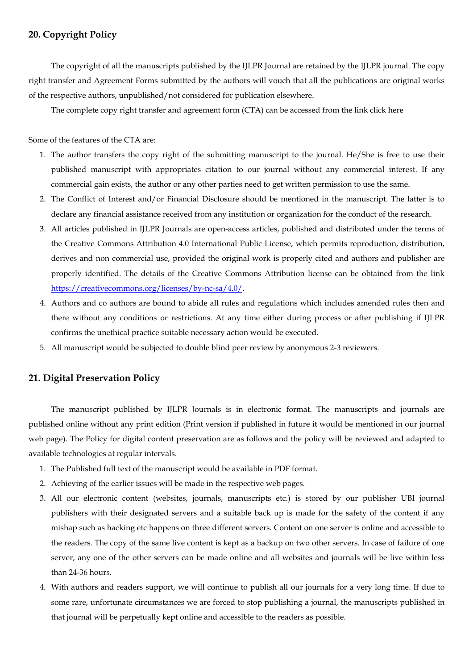## **20. Copyright Policy**

The copyright of all the manuscripts published by the IJLPR Journal are retained by the IJLPR journal. The copy right transfer and Agreement Forms submitted by the authors will vouch that all the publications are original works of the respective authors, unpublished/not considered for publication elsewhere.

The complete copy right transfer and agreement form (CTA) can be accessed from the link click here

Some of the features of the CTA are:

- 1. The author transfers the copy right of the submitting manuscript to the journal. He/She is free to use their published manuscript with appropriates citation to our journal without any commercial interest. If any commercial gain exists, the author or any other parties need to get written permission to use the same.
- 2. The Conflict of Interest and/or Financial Disclosure should be mentioned in the manuscript. The latter is to declare any financial assistance received from any institution or organization for the conduct of the research.
- 3. All articles published in IJLPR Journals are open-access articles, published and distributed under the terms of the Creative Commons Attribution 4.0 International Public License, which permits reproduction, distribution, derives and non commercial use, provided the original work is properly cited and authors and publisher are properly identified. The details of the Creative Commons Attribution license can be obtained from the link https://creativecommons.org/licenses/by-nc-sa/4.0/.
- 4. Authors and co authors are bound to abide all rules and regulations which includes amended rules then and there without any conditions or restrictions. At any time either during process or after publishing if IJLPR confirms the unethical practice suitable necessary action would be executed.
- 5. All manuscript would be subjected to double blind peer review by anonymous 2-3 reviewers.

## **21. Digital Preservation Policy**

The manuscript published by IJLPR Journals is in electronic format. The manuscripts and journals are published online without any print edition (Print version if published in future it would be mentioned in our journal web page). The Policy for digital content preservation are as follows and the policy will be reviewed and adapted to available technologies at regular intervals.

- 1. The Published full text of the manuscript would be available in PDF format.
- 2. Achieving of the earlier issues will be made in the respective web pages.
- 3. All our electronic content (websites, journals, manuscripts etc.) is stored by our publisher UBI journal publishers with their designated servers and a suitable back up is made for the safety of the content if any mishap such as hacking etc happens on three different servers. Content on one server is online and accessible to the readers. The copy of the same live content is kept as a backup on two other servers. In case of failure of one server, any one of the other servers can be made online and all websites and journals will be live within less than 24-36 hours.
- 4. With authors and readers support, we will continue to publish all our journals for a very long time. If due to some rare, unfortunate circumstances we are forced to stop publishing a journal, the manuscripts published in that journal will be perpetually kept online and accessible to the readers as possible.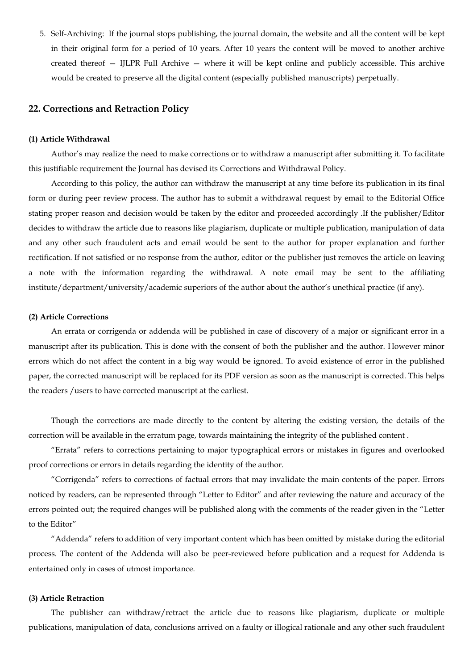5. Self-Archiving: If the journal stops publishing, the journal domain, the website and all the content will be kept in their original form for a period of 10 years. After 10 years the content will be moved to another archive created thereof — IJLPR Full Archive — where it will be kept online and publicly accessible. This archive would be created to preserve all the digital content (especially published manuscripts) perpetually.

## **22. Corrections and Retraction Policy**

### **(1) Article Withdrawal**

Author's may realize the need to make corrections or to withdraw a manuscript after submitting it. To facilitate this justifiable requirement the Journal has devised its Corrections and Withdrawal Policy.

According to this policy, the author can withdraw the manuscript at any time before its publication in its final form or during peer review process. The author has to submit a withdrawal request by email to the Editorial Office stating proper reason and decision would be taken by the editor and proceeded accordingly .If the publisher/Editor decides to withdraw the article due to reasons like plagiarism, duplicate or multiple publication, manipulation of data and any other such fraudulent acts and email would be sent to the author for proper explanation and further rectification. If not satisfied or no response from the author, editor or the publisher just removes the article on leaving a note with the information regarding the withdrawal. A note email may be sent to the affiliating institute/department/university/academic superiors of the author about the author's unethical practice (if any).

### **(2) Article Corrections**

An errata or corrigenda or addenda will be published in case of discovery of a major or significant error in a manuscript after its publication. This is done with the consent of both the publisher and the author. However minor errors which do not affect the content in a big way would be ignored. To avoid existence of error in the published paper, the corrected manuscript will be replaced for its PDF version as soon as the manuscript is corrected. This helps the readers /users to have corrected manuscript at the earliest.

Though the corrections are made directly to the content by altering the existing version, the details of the correction will be available in the erratum page, towards maintaining the integrity of the published content .

"Errata" refers to corrections pertaining to major typographical errors or mistakes in figures and overlooked proof corrections or errors in details regarding the identity of the author.

"Corrigenda" refers to corrections of factual errors that may invalidate the main contents of the paper. Errors noticed by readers, can be represented through "Letter to Editor" and after reviewing the nature and accuracy of the errors pointed out; the required changes will be published along with the comments of the reader given in the "Letter to the Editor"

"Addenda" refers to addition of very important content which has been omitted by mistake during the editorial process. The content of the Addenda will also be peer-reviewed before publication and a request for Addenda is entertained only in cases of utmost importance.

### **(3) Article Retraction**

The publisher can withdraw/retract the article due to reasons like plagiarism, duplicate or multiple publications, manipulation of data, conclusions arrived on a faulty or illogical rationale and any other such fraudulent